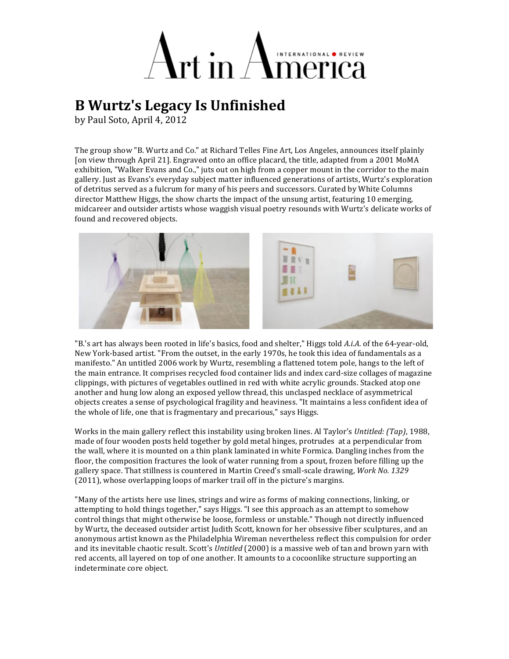## merica

## **B Wurtz's Legacy Is Unfinished**

by Paul Soto, April 4, 2012

The group show "B. Wurtz and Co." at Richard Telles Fine Art, Los Angeles, announces itself plainly [on view through April 21]. Engraved onto an office placard, the title, adapted from a 2001 MoMA exhibition, "Walker Evans and Co.," juts out on high from a copper mount in the corridor to the main gallery. Just as Evans's everyday subject matter influenced generations of artists, Wurtz's exploration of detritus served as a fulcrum for many of his peers and successors. Curated by White Columns director Matthew Higgs, the show charts the impact of the unsung artist, featuring 10 emerging, midcareer and outsider artists whose waggish visual poetry resounds with Wurtz's delicate works of found and recovered objects.



"B.'s art has always been rooted in life's basics, food and shelter," Higgs told A.i.A. of the 64-year-old, New York-based artist. "From the outset, in the early 1970s, he took this idea of fundamentals as a manifesto." An untitled 2006 work by Wurtz, resembling a flattened totem pole, hangs to the left of the main entrance. It comprises recycled food container lids and index card-size collages of magazine clippings, with pictures of vegetables outlined in red with white acrylic grounds. Stacked atop one another and hung low along an exposed yellow thread, this unclasped necklace of asymmetrical objects creates a sense of psychological fragility and heaviness. "It maintains a less confident idea of the whole of life, one that is fragmentary and precarious," says Higgs.

Works in the main gallery reflect this instability using broken lines. Al Taylor's *Untitled: (Tap)*, 1988, made of four wooden posts held together by gold metal hinges, protrudes at a perpendicular from the wall, where it is mounted on a thin plank laminated in white Formica. Dangling inches from the floor, the composition fractures the look of water running from a spout, frozen before filling up the gallery space. That stillness is countered in Martin Creed's small-scale drawing, *Work No. 1329*  $(2011)$ , whose overlapping loops of marker trail off in the picture's margins.

"Many of the artists here use lines, strings and wire as forms of making connections, linking, or attempting to hold things together," says Higgs. "I see this approach as an attempt to somehow control things that might otherwise be loose, formless or unstable." Though not directly influenced by Wurtz, the deceased outsider artist Judith Scott, known for her obsessive fiber sculptures, and an anonymous artist known as the Philadelphia Wireman nevertheless reflect this compulsion for order and its inevitable chaotic result. Scott's *Untitled* (2000) is a massive web of tan and brown yarn with red accents, all layered on top of one another. It amounts to a cocoonlike structure supporting an indeterminate core object.